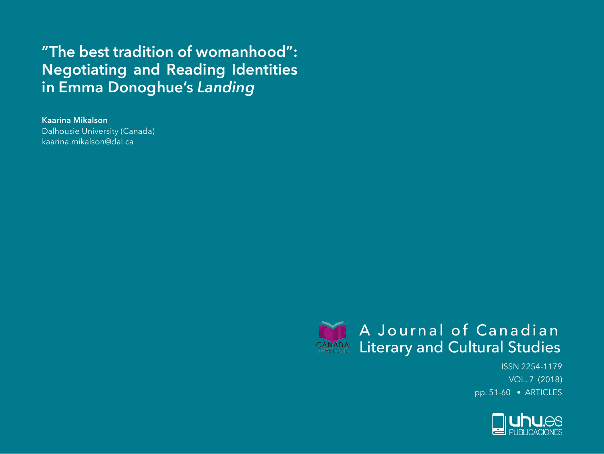# **"The best tradition of womanhood": Negotiating and Reading Identities in Emma Donoghue's** *Landing*

**Kaarina Mikalson**

Dalhousie University (Canada) kaarina.mikalson@dal.ca



ISSN 2254-1179 VOL. 7 (2018) pp. 51-60 • ARTICLES

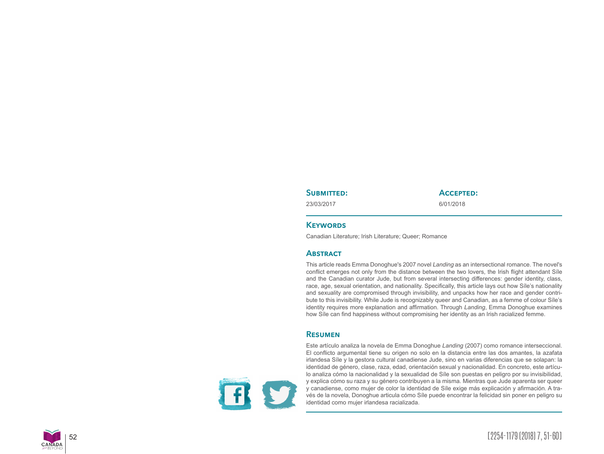#### SUBMITTED:

23/03/2017

## **Accepted:**

6/01/2018

### **KEYWORDS**

Canadian Literature; Irish Literature; Queer; Romance

# **Abstract**

This article reads Emma Donoghue's 2007 novel *Landing* as an intersectional romance. The novel's conflict emerges not only from the distance between the two lovers, the Irish flight attendant Síle and the Canadian curator Jude, but from several intersecting differences: gender identity, class, race, age, sexual orientation, and nationality. Specifically, this article lays out how Síle's nationality and sexuality are compromised through invisibility, and unpacks how her race and gender contri bute to this invisibility. While Jude is recognizably queer and Canadian, as a femme of colour Síle's identity requires more explanation and affirmation. Through *Landing*, Emma Donoghue examines how Síle can find happiness without compromising her identity as an Irish racialized femme.

# **Resumen**

F

Este artículo analiza la novela de Emma Donoghue *Landing* (2007) como romance interseccional. El conflicto argumental tiene su origen no solo en la distancia entre las dos amantes, la azafata irlandesa Síle y la gestora cultural canadiense Jude, sino en varias diferencias que se solapan: la identidad de género, clase, raza, edad, orientación sexual y nacionalidad. En concreto, este artícu lo analiza cómo la nacionalidad y la sexualidad de Síle son puestas en peligro por su invisibilidad, y explica cómo su raza y su género contribuyen a la misma. Mientras que Jude aparenta ser queer y canadiense, como mujer de color la identidad de Síle exige más explicación y afirmación. A tra vés de la novela, Donoghue articula cómo Síle puede encontrar la felicidad sin poner en peligro su identidad como mujer irlandesa racializada.

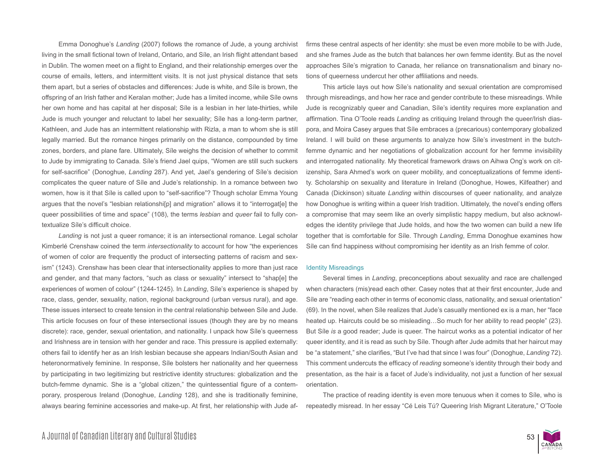Emma Donoghue's *Landing* (2007) follows the romance of Jude, a young archivist living in the small fictional town of Ireland, Ontario, and Síle, an Irish flight attendant based in Dublin. The women meet on a flight to England, and their relationship emerges over the course of emails, letters, and intermittent visits. It is not just physical distance that sets them apart, but a series of obstacles and differences: Jude is white, and Síle is brown, the offspring of an Irish father and Keralan mother; Jude has a limited income, while Síle owns her own home and has capital at her disposal; Síle is a lesbian in her late-thirties, while Jude is much younger and reluctant to label her sexuality; Síle has a long-term partner, Kathleen, and Jude has an intermittent relationship with Rizla, a man to whom she is still legally married. But the romance hinges primarily on the distance, compounded by time zones, borders, and plane fare. Ultimately, Síle weighs the decision of whether to commit to Jude by immigrating to Canada. Síle's friend Jael quips, "Women are still such suckers for self-sacrifice" (Donoghue, *Landing* 287). And yet, Jael's gendering of Síle's decision complicates the queer nature of Síle and Jude's relationship. In a romance between two women, how is it that Síle is called upon to "self-sacrifice"? Though scholar Emma Young argues that the novel's "lesbian relationshi[p] and migration" allows it to "interrogat[e] the queer possibilities of time and space" (108), the terms *lesbian* and *queer* fail to fully contextualize Síle's difficult choice.

*Landing* is not just a queer romance; it is an intersectional romance. Legal scholar Kimberlé Crenshaw coined the term *intersectionality* to account for how "the experiences of women of color are frequently the product of intersecting patterns of racism and sexism" (1243). Crenshaw has been clear that intersectionality applies to more than just race and gender, and that many factors, "such as class or sexuality" intersect to "shap[e] the experiences of women of colour" (1244-1245). In *Landing*, Síle's experience is shaped by race, class, gender, sexuality, nation, regional background (urban versus rural), and age. These issues intersect to create tension in the central relationship between Síle and Jude. This article focuses on four of these intersectional issues (though they are by no means discrete): race, gender, sexual orientation, and nationality. I unpack how Síle's queerness and Irishness are in tension with her gender and race. This pressure is applied externally: others fail to identify her as an Irish lesbian because she appears Indian/South Asian and heteronormatively feminine. In response, Síle bolsters her nationality and her queerness by participating in two legitimizing but restrictive identity structures: globalization and the butch-femme dynamic. She is a "global citizen," the quintessential figure of a contemporary, prosperous Ireland (Donoghue, *Landing* 128), and she is traditionally feminine, always bearing feminine accessories and make-up. At first, her relationship with Jude affirms these central aspects of her identity: she must be even more mobile to be with Jude, and she frames Jude as the butch that balances her own femme identity. But as the novel approaches Síle's migration to Canada, her reliance on transnationalism and binary notions of queerness undercut her other affiliations and needs.

This article lays out how Síle's nationality and sexual orientation are compromised through misreadings, and how her race and gender contribute to these misreadings. While Jude is recognizably queer and Canadian, Síle's identity requires more explanation and affirmation. Tina O'Toole reads *Landing* as critiquing Ireland through the queer/Irish diaspora, and Moira Casey argues that Síle embraces a (precarious) contemporary globalized Ireland. I will build on these arguments to analyze how Síle's investment in the butchfemme dynamic and her negotiations of globalization account for her femme invisibility and interrogated nationality. My theoretical framework draws on Aihwa Ong's work on citizenship, Sara Ahmed's work on queer mobility, and conceptualizations of femme identity. Scholarship on sexuality and literature in Ireland (Donoghue, Howes, Kilfeather) and Canada (Dickinson) situate *Landing* within discourses of queer nationality, and analyze how Donoghue is writing within a queer Irish tradition. Ultimately, the novel's ending offers a compromise that may seem like an overly simplistic happy medium, but also acknowledges the identity privilege that Jude holds, and how the two women can build a new life together that is comfortable for Síle. Through *Landing*, Emma Donoghue examines how Síle can find happiness without compromising her identity as an Irish femme of color.

## Identity Misreadings

Several times in *Landing*, preconceptions about sexuality and race are challenged when characters (mis)read each other. Casey notes that at their first encounter, Jude and Síle are "reading each other in terms of economic class, nationality, and sexual orientation" (69). In the novel, when Síle realizes that Jude's casually mentioned ex is a man, her "face heated up. Haircuts could be so misleading…So much for her ability to read people" (23). But Síle *is* a good reader; Jude is queer. The haircut works as a potential indicator of her queer identity, and it is read as such by Síle. Though after Jude admits that her haircut may be "a statement," she clarifies, "But I've had that since I was four" (Donoghue, *Landing* 72). This comment undercuts the efficacy of *reading* someone's identity through their body and presentation, as the hair is a facet of Jude's individuality, not just a function of her sexual orientation.

The practice of reading identity is even more tenuous when it comes to Síle, who is repeatedly misread. In her essay "Cé Leis Tú? Queering Irish Migrant Literature," O'Toole

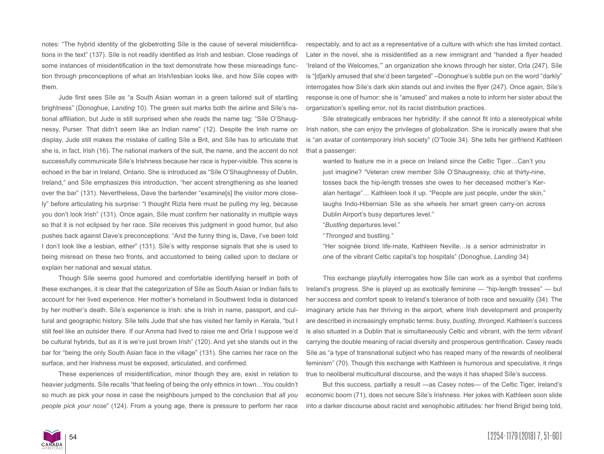notes: "The hybrid identity of the globetrotting Síle is the cause of several misidentifications in the text" (137). Síle is not readily identified as Irish and lesbian. Close readings of some instances of misidentification in the text demonstrate how these misreadings function through preconceptions of what an Irish/lesbian looks like, and how Síle copes with them.

Jude first sees Síle as "a South Asian woman in a green tailored suit of startling brightness" (Donoghue, *Landing* 10). The green suit marks both the airline and Síle's national affiliation, but Jude is still surprised when she reads the name tag: "Síle O'Shaugnessy, Purser. That didn't seem like an Indian name" (12). Despite the Irish name on display, Jude still makes the mistake of calling Síle a Brit, and Síle has to articulate that she is, in fact, Irish (16). The national markers of the suit, the name, and the accent do not successfully communicate Síle's Irishness because her race is hyper-visible. This scene is echoed in the bar in Ireland, Ontario. She is introduced as "Síle O'Shaughnessy of Dublin, Ireland," and Síle emphasizes this introduction, "her accent strengthening as she leaned over the bar" (131). Nevertheless, Dave the bartender "examine[s] the visitor more closely" before articulating his surprise: "I thought Rizla here must be pulling my leg, because you don't look Irish" (131). Once again, Síle must confirm her nationality in multiple ways so that it is not eclipsed by her race. Síle receives this judgment in good humor, but also pushes back against Dave's preconceptions: "And the funny thing is, Dave, I've been told I don't look like a lesbian, either" (131). Síle's witty response signals that she is used to being misread on these two fronts, and accustomed to being called upon to declare or explain her national and sexual status.

Though Síle seems good humored and comfortable identifying herself in both of these exchanges, it is clear that the categorization of Síle as South Asian or Indian fails to account for her lived experience. Her mother's homeland in Southwest India is distanced by her mother's death. Síle's experience is Irish: she is Irish in name, passport, and cultural and geographic history. Síle tells Jude that she has visited her family in Kerala, "but I still feel like an outsider there. If our Amma had lived to raise me and Orla I suppose we'd be cultural hybrids, but as it is we're just brown Irish" (120). And yet she stands out in the bar for "being the only South Asian face in the village" (131). She carries her race on the surface, and her Irishness must be exposed, articulated, and confirmed.

These experiences of misidentification, minor though they are, exist in relation to heavier judgments. Síle recalls "that feeling of being the only ethnics in town…You couldn't so much as pick your nose in case the neighbours jumped to the conclusion that *all you people pick your nose*" (124). From a young age, there is pressure to perform her race respectably, and to act as a representative of a culture with which she has limited contact. Later in the novel, she is misidentified as a new immigrant and "handed a flyer headed 'Ireland of the Welcomes,'" an organization she knows through her sister, Orla (247). Síle is "[d]arkly amused that she'd been targeted" –Donoghue's subtle pun on the word "darkly" interrogates how Síle's dark skin stands out and invites the flyer (247). Once again, Síle's response is one of humor: she is "amused" and makes a note to inform her sister about the organization's spelling error, not its racist distribution practices.

Síle strategically embraces her hybridity: if she cannot fit into a stereotypical white Irish nation, she can enjoy the privileges of globalization. She is ironically aware that she is "an avatar of contemporary Irish society" (O'Toole 34). She tells her girlfriend Kathleen that a passenger:

wanted to feature me in a piece on Ireland since the Celtic Tiger…Can't you just imagine? "Veteran crew member Síle O'Shaugnessy, chic at thirty-nine, tosses back the hip-length tresses she owes to her deceased mother's Keralan heritage"… Kathleen took it up. "People are just people, under the skin," laughs Indo-Hibernian Síle as she wheels her smart green carry-on across Dublin Airport's busy departures level."

"*Bustling* departures level."

"*Thronged* and bustling."

"Her soignée blond life-mate, Kathleen Neville…is a senior administrator in one of the vibrant Celtic capital's top hospitals" (Donoghue, *Landing* 34)

This exchange playfully interrogates how Síle can work as a symbol that confirms Ireland's progress. She is played up as exotically feminine — "hip-length tresses" — but her success and comfort speak to Ireland's tolerance of both race and sexuality (34). The imaginary article has her thriving in the airport, where Irish development and prosperity are described in increasingly emphatic terms: busy, *bustling, thronged*. Kathleen's success is also situated in a Dublin that is simultaneously Celtic and vibrant, with the term *vibrant* carrying the double meaning of racial diversity and prosperous gentrification. Casey reads Síle as "a type of transnational subject who has reaped many of the rewards of neoliberal feminism" (70). Though this exchange with Kathleen is humorous and speculative, it rings true to neoliberal multicultural discourse, and the ways it has shaped Síle's success.

But this success, partially a result —as Casey notes— of the Celtic Tiger, Ireland's economic boom (71), does not secure Síle's Irishness. Her jokes with Kathleen soon slide into a darker discourse about racist and xenophobic attitudes: her friend Brigid being told,

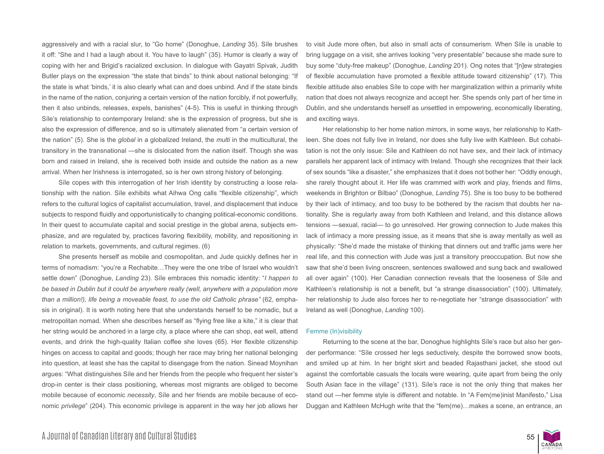aggressively and with a racial slur, to "Go home" (Donoghue, *Landing* 35). Síle brushes it off: "She and I had a laugh about it. You have to laugh" (35). Humor is clearly a way of coping with her and Brigid's racialized exclusion. In dialogue with Gayatri Spivak, Judith Butler plays on the expression "the state that binds" to think about national belonging: "If the state is what 'binds,' it is also clearly what can and does unbind. And if the state binds in the name of the nation, conjuring a certain version of the nation forcibly, if not powerfully, then it also unbinds, releases, expels, banishes" (4-5). This is useful in thinking through Síle's relationship to contemporary Ireland: she is the expression of progress, but she is also the expression of difference, and so is ultimately alienated from "a certain version of the nation" (5). She is the *global* in a globalized Ireland, the *multi* in the multicultural, the transitory in the transnational —she is dislocated from the nation itself. Though she was born and raised in Ireland, she is received both inside and outside the nation as a new arrival. When her Irishness is interrogated, so is her own strong history of belonging.

Síle copes with this interrogation of her Irish identity by constructing a loose relationship with the nation. Síle exhibits what Aihwa Ong calls "flexible citizenship", which refers to the cultural logics of capitalist accumulation, travel, and displacement that induce subjects to respond fluidly and opportunistically to changing political-economic conditions. In their quest to accumulate capital and social prestige in the global arena, subjects emphasize, and are regulated by, practices favoring flexibility, mobility, and repositioning in relation to markets, governments, and cultural regimes. (6)

She presents herself as mobile and cosmopolitan, and Jude quickly defines her in terms of nomadism: "you're a Rechabite…They were the one tribe of Israel who wouldn't settle down" (Donoghue, *Landing* 23). Síle embraces this nomadic identity: "*I happen to be based in Dublin but it could be anywhere really (well, anywhere with a population more than a million!), life being a moveable feast, to use the old Catholic phrase"* (62, emphasis in original). It is worth noting here that she understands herself to be nomadic, but a metropolitan nomad. When she describes herself as "flying free like a kite," it is clear that her string would be anchored in a large city, a place where she can shop, eat well, attend events, and drink the high-quality Italian coffee she loves (65). Her flexible citizenship hinges on access to capital and goods; though her race may bring her national belonging into question, at least she has the capital to disengage from the nation. Sinead Moynihan argues: "What distinguishes Síle and her friends from the people who frequent her sister's drop-in center is their class positioning, whereas most migrants are obliged to become mobile because of economic *necessity*, Síle and her friends are mobile because of economic *privilege*" (204). This economic privilege is apparent in the way her job allows her to visit Jude more often, but also in small acts of consumerism. When Síle is unable to bring luggage on a visit, she arrives looking "very presentable" because she made sure to buy some "duty-free makeup" (Donoghue, *Landing* 201). Ong notes that "[n]ew strategies of flexible accumulation have promoted a flexible attitude toward citizenship" (17). This flexible attitude also enables Síle to cope with her marginalization within a primarily white nation that does not always recognize and accept her. She spends only part of her time in Dublin, and she understands herself as *un*settled in empowering, economically liberating, and exciting ways.

Her relationship to her home nation mirrors, in some ways, her relationship to Kathleen. She does not fully live in Ireland, nor does she fully live with Kathleen. But cohabitation is not the only issue: Síle and Kathleen do not have sex, and their lack of intimacy parallels her apparent lack of intimacy with Ireland. Though she recognizes that their lack of sex sounds "like a disaster," she emphasizes that it does not bother her: "Oddly enough, she rarely thought about it. Her life was crammed with work and play, friends and films, weekends in Brighton or Bilbao" (Donoghue, *Landing* 75). She is too busy to be bothered by their lack of intimacy, and too busy to be bothered by the racism that doubts her nationality. She is regularly away from both Kathleen and Ireland, and this distance allows tensions —sexual, racial— to go unresolved. Her growing connection to Jude makes this lack of intimacy a more pressing issue, as it means that she is away mentally as well as physically: "She'd made the mistake of thinking that dinners out and traffic jams were her real life, and this connection with Jude was just a transitory preoccupation. But now she saw that she'd been living onscreen, sentences swallowed and sung back and swallowed all over again" (100). Her Canadian connection reveals that the looseness of Síle and Kathleen's relationship is not a benefit, but "a strange disassociation" (100). Ultimately, her relationship to Jude also forces her to re-negotiate her "strange disassociation" with Ireland as well (Donoghue, *Landing* 100).

#### Femme (In)visibility

Returning to the scene at the bar, Donoghue highlights Síle's race but also her gender performance: "Síle crossed her legs seductively, despite the borrowed snow boots, and smiled up at him. In her bright skirt and beaded Rajasthani jacket, she stood out against the comfortable casuals the locals were wearing, quite apart from being the only South Asian face in the village" (131). Síle's race is not the only thing that makes her stand out —her femme style is different and notable. In "A Fem(me)inist Manifesto," Lisa Duggan and Kathleen McHugh write that the "fem(me)…makes a scene, an entrance, an

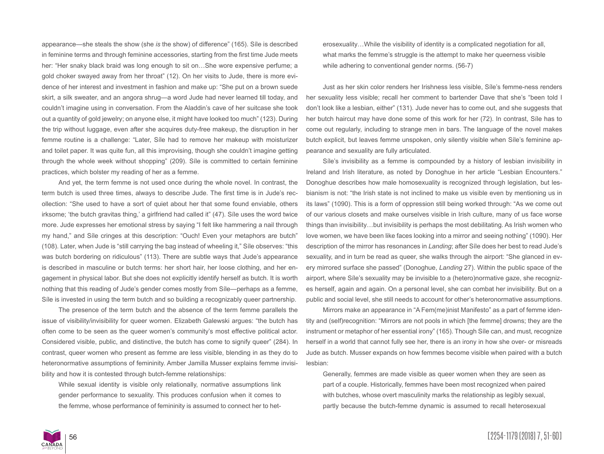appearance—she steals the show (she *is* the show) of difference" (165). Síle is described in feminine terms and through feminine accessories, starting from the first time Jude meets her: "Her snaky black braid was long enough to sit on...She wore expensive perfume; a gold choker swayed away from her throat" (12). On her visits to Jude, there is more evidence of her interest and investment in fashion and make up: "She put on a brown suede skirt, a silk sweater, and an angora shrug—a word Jude had never learned till today, and couldn't imagine using in conversation. From the Aladdin's cave of her suitcase she took out a quantity of gold jewelry; on anyone else, it might have looked too much" (123). During the trip without luggage, even after she acquires duty-free makeup, the disruption in her femme routine is a challenge: "Later, Síle had to remove her makeup with moisturizer and toilet paper. It was quite fun, all this improvising, though she couldn't imagine getting through the whole week without shopping" (209). Síle is committed to certain feminine practices, which bolster my reading of her as a femme.

And yet, the term femme is not used once during the whole novel. In contrast, the term butch is used three times, always to describe Jude. The first time is in Jude's recollection: "She used to have a sort of quiet about her that some found enviable, others irksome; 'the butch gravitas thing,' a girlfriend had called it" (47). Síle uses the word twice more. Jude expresses her emotional stress by saying "I felt like hammering a nail through my hand," and Síle cringes at this description: "Ouch! Even your metaphors are butch" (108). Later, when Jude is "still carrying the bag instead of wheeling it," Síle observes: "this was butch bordering on ridiculous" (113). There are subtle ways that Jude's appearance is described in masculine or butch terms: her short hair, her loose clothing, and her engagement in physical labor. But she does not explicitly identify herself as butch. It is worth nothing that this reading of Jude's gender comes mostly from Síle—perhaps as a femme, Síle is invested in using the term butch and so building a recognizably queer partnership.

The presence of the term butch and the absence of the term femme parallels the issue of visibility/invisibility for queer women. Elizabeth Galewski argues: "the butch has often come to be seen as the queer women's community's most effective political actor. Considered visible, public, and distinctive, the butch has come to signify queer" (284). In contrast, queer women who present as femme are less visible, blending in as they do to heteronormative assumptions of femininity. Amber Jamilla Musser explains femme invisibility and how it is contested through butch-femme relationships:

While sexual identity is visible only relationally, normative assumptions link gender performance to sexuality. This produces confusion when it comes to the femme, whose performance of femininity is assumed to connect her to heterosexuality…While the visibility of identity is a complicated negotiation for all, what marks the femme's struggle is the attempt to make her queerness visible while adhering to conventional gender norms. (56-7)

Just as her skin color renders her Irishness less visible, Síle's femme-ness renders her sexuality less visible; recall her comment to bartender Dave that she's "been told I don't look like a lesbian, either" (131). Jude never has to come out, and she suggests that her butch haircut may have done some of this work for her (72). In contrast, Síle has to come out regularly, including to strange men in bars. The language of the novel makes butch explicit, but leaves femme unspoken, only silently visible when Síle's feminine appearance and sexuality are fully articulated.

Síle's invisibility as a femme is compounded by a history of lesbian invisibility in Ireland and Irish literature, as noted by Donoghue in her article "Lesbian Encounters." Donoghue describes how male homosexuality is recognized through legislation, but lesbianism is not: "the Irish state is not inclined to make us visible even by mentioning us in its laws" (1090). This is a form of oppression still being worked through: "As we come out of our various closets and make ourselves visible in Irish culture, many of us face worse things than invisibility…but invisibility is perhaps the most debilitating. As Irish women who love women, we have been like faces looking into a mirror and seeing nothing" (1090). Her description of the mirror has resonances in *Landing*; after Síle does her best to read Jude's sexuality, and in turn be read as queer, she walks through the airport: "She glanced in every mirrored surface she passed" (Donoghue, *Landing* 27). Within the public space of the airport, where Síle's sexuality may be invisible to a (hetero)normative gaze, she recognizes herself, again and again. On a personal level, she can combat her invisibility. But on a public and social level, she still needs to account for other's heteronormative assumptions.

Mirrors make an appearance in "A Fem(me)inist Manifesto" as a part of femme identity and (self)recognition: "Mirrors are not pools in which [the femme] drowns; they are the instrument or metaphor of her essential irony" (165). Though Síle can, and must, recognize herself in a world that cannot fully see her, there is an irony in how she over- or misreads Jude as butch. Musser expands on how femmes become visible when paired with a butch lesbian:

Generally, femmes are made visible as queer women when they are seen as part of a couple. Historically, femmes have been most recognized when paired with butches, whose overt masculinity marks the relationship as legibly sexual, partly because the butch-femme dynamic is assumed to recall heterosexual

56 [2254-1179 (2018) 7, 51-60]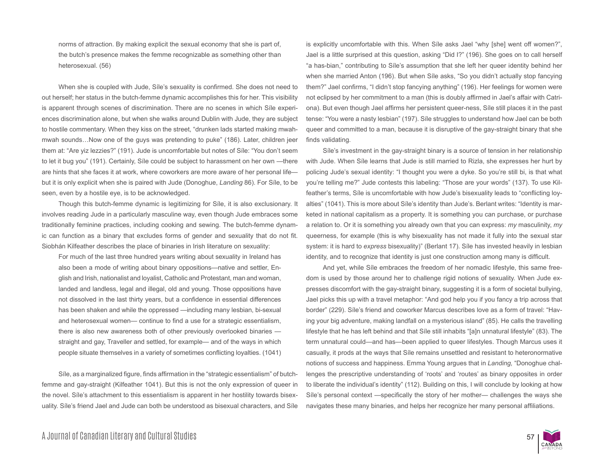norms of attraction. By making explicit the sexual economy that she is part of, the butch's presence makes the femme recognizable as something other than heterosexual. (56)

When she is coupled with Jude, Síle's sexuality is confirmed. She does not need to out herself; her status in the butch-femme dynamic accomplishes this for her. This visibility is apparent through scenes of discrimination. There are no scenes in which Síle experiences discrimination alone, but when she walks around Dublin with Jude, they are subject to hostile commentary. When they kiss on the street, "drunken lads started making mwahmwah sounds…Now one of the guys was pretending to puke" (186). Later, children jeer them at: "Are yiz lezzies?" (191). Jude is uncomfortable but notes of Síle: "You don't seem to let it bug you" (191). Certainly, Síle could be subject to harassment on her own —there are hints that she faces it at work, where coworkers are more aware of her personal life but it is only explicit when she is paired with Jude (Donoghue, *Landing* 86). For Síle, to be seen, even by a hostile eye, is to be acknowledged.

Though this butch-femme dynamic is legitimizing for Síle, it is also exclusionary. It involves reading Jude in a particularly masculine way, even though Jude embraces some traditionally feminine practices, including cooking and sewing. The butch-femme dynamic can function as a binary that excludes forms of gender and sexuality that do not fit. Siobhán Kilfeather describes the place of binaries in Irish literature on sexuality:

For much of the last three hundred years writing about sexuality in Ireland has also been a mode of writing about binary oppositions—native and settler, English and Irish, nationalist and loyalist, Catholic and Protestant, man and woman, landed and landless, legal and illegal, old and young. Those oppositions have not dissolved in the last thirty years, but a confidence in essential differences has been shaken and while the oppressed —including many lesbian, bi-sexual and heterosexual women— continue to find a use for a strategic essentialism, there is also new awareness both of other previously overlooked binaries straight and gay, Traveller and settled, for example— and of the ways in which people situate themselves in a variety of sometimes conflicting loyalties. (1041)

Síle, as a marginalized figure, finds affirmation in the "strategic essentialism" of butchfemme and gay-straight (Kilfeather 1041). But this is not the only expression of queer in the novel. Síle's attachment to this essentialism is apparent in her hostility towards bisexuality. Síle's friend Jael and Jude can both be understood as bisexual characters, and Síle

is explicitly uncomfortable with this. When Síle asks Jael "why [she] went off women?", Jael is a little surprised at this question, asking "Did I?" (196). She goes on to call herself "a has-bian," contributing to Síle's assumption that she left her queer identity behind her when she married Anton (196). But when Síle asks, "So you didn't actually stop fancying them?" Jael confirms, "I didn't stop fancying anything" (196). Her feelings for women were not eclipsed by her commitment to a man (this is doubly affirmed in Jael's affair with Catriona). But even though Jael affirms her persistent queer-ness, Síle still places it in the past tense: "You were a nasty lesbian" (197). Síle struggles to understand how Jael can be both queer and committed to a man, because it is disruptive of the gay-straight binary that she finds validating.

Síle's investment in the gay-straight binary is a source of tension in her relationship with Jude. When Síle learns that Jude is still married to Rizla, she expresses her hurt by policing Jude's sexual identity: "I thought you were a dyke. So you're still bi, is that what you're telling me?" Jude contests this labeling: "Those are your words" (137). To use Kilfeather's terms, Síle is uncomfortable with how Jude's bisexuality leads to "conflicting loyalties" (1041). This is more about Síle's identity than Jude's. Berlant writes: "Identity is marketed in national capitalism as a property. It is something you can purchase, or purchase a relation to. Or it is something you already own that you can express: *my* masculinity, *my* queerness, for example (this is why bisexuality has not made it fully into the sexual star system: it is hard to *express* bisexuality)" (Berlant 17). Síle has invested heavily in lesbian identity, and to recognize that identity is just one construction among many is difficult.

And yet, while Síle embraces the freedom of her nomadic lifestyle, this same freedom is used by those around her to challenge rigid notions of sexuality. When Jude expresses discomfort with the gay-straight binary, suggesting it is a form of societal bullying, Jael picks this up with a travel metaphor: "And god help you if you fancy a trip across that border" (229). Síle's friend and coworker Marcus describes love as a form of travel: "Having your big adventure, making landfall on a mysterious island" (85). He calls the travelling lifestyle that he has left behind and that Síle still inhabits "[a]n unnatural lifestyle" (83). The term unnatural could—and has—been applied to queer lifestyles. Though Marcus uses it casually, it prods at the ways that Síle remains unsettled and resistant to heteronormative notions of success and happiness. Emma Young argues that in *Landing,* "Donoghue challenges the prescriptive understanding of 'roots' and 'routes' as binary opposites in order to liberate the individual's identity" (112). Building on this, I will conclude by looking at how Síle's personal context —specifically the story of her mother— challenges the ways she navigates these many binaries, and helps her recognize her many personal affiliations.

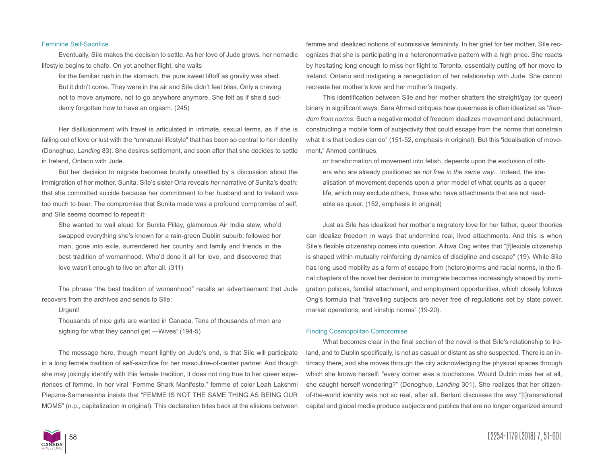### Feminine Self-Sacrifice

Eventually, Síle makes the decision to settle. As her love of Jude grows, her nomadic lifestyle begins to chafe. On yet another flight, she waits

for the familiar rush in the stomach, the pure sweet liftoff as gravity was shed. But it didn't come. They were in the air and Síle didn't feel bliss. Only a craving not to move anymore, not to go anywhere anymore. She felt as if she'd suddenly forgotten how to have an orgasm. (245)

Her disillusionment with travel is articulated in intimate, sexual terms, as if she is falling out of love or lust with the "unnatural lifestyle" that has been so central to her identity (Donoghue, *Landing* 83). She desires settlement, and soon after that she decides to settle in Ireland, Ontario with Jude.

But her decision to migrate becomes brutally unsettled by a discussion about the immigration of her mother, Sunita. Síle's sister Orla reveals *her* narrative of Sunita's death: that she committed suicide because her commitment to her husband and to Ireland was too much to bear. The compromise that Sunita made was a profound compromise of self, and Síle seems doomed to repeat it:

She wanted to wail aloud for Sunita Pillay, glamorous Air India stew, who'd swapped everything she's known for a rain-green Dublin suburb: followed her man, gone into exile, surrendered her country and family and friends in the best tradition of womanhood. Who'd done it all for love, and discovered that love wasn't enough to live on after all. (311)

The phrase "the best tradition of womanhood" recalls an advertisement that Jude recovers from the archives and sends to Síle:

#### Urgent!

Thousands of nice girls are wanted in Canada. Tens of thousands of men are sighing for what they cannot get —Wives! (194-5)

The message here, though meant lightly on Jude's end, is that Síle will participate in a long female tradition of self-sacrifice for her masculine-of-center partner. And though she may jokingly identify with this female tradition, it does not ring true to her queer experiences of femme. In her viral "Femme Shark Manifesto," femme of color Leah Lakshmi Piepzna-Samarasinha insists that "FEMME IS NOT THE SAME THING AS BEING OUR MOMS" (n.p., capitalization in original). This declaration bites back at the elisions between

femme and idealized notions of submissive femininity. In her grief for her mother, Síle recognizes that she is participating in a heteronormative pattern with a high price. She reacts by hesitating long enough to miss her flight to Toronto, essentially putting off her move to Ireland, Ontario and instigating a renegotiation of her relationship with Jude. She cannot recreate her mother's love and her mother's tragedy.

This identification between Síle and her mother shatters the straight/gay (or queer) binary in significant ways. Sara Ahmed critiques how queerness is often idealized as "*freedom from norms*. Such a negative model of freedom idealizes movement and detachment, constructing a mobile form of subjectivity that could escape from the norms that constrain what it is that bodies can do" (151-52, emphasis in original). But this "idealisation of movement," Ahmed continues,

or transformation of movement into fetish, depends upon the exclusion of others who are already positioned as *not free in the same way*…Indeed, the idealisation of movement depends upon a prior model of what counts as a queer life, which may exclude others, those who have attachments that are not readable as queer. (152, emphasis in original)

Just as Síle has idealized her mother's migratory love for her father, queer theories can idealize freedom in ways that undermine real, lived attachments. And this is when Síle's flexible citizenship comes into question. Aihwa Ong writes that "[f]lexible citizenship is shaped within mutually reinforcing dynamics of discipline and escape" (19). While Síle has long used mobility as a form of escape from (hetero)norms and racial norms, in the final chapters of the novel her decision to immigrate becomes increasingly shaped by immigration policies, familial attachment, and employment opportunities, which closely follows Ong's formula that "travelling subjects are never free of regulations set by state power, market operations, and kinship norms" (19-20).

#### Finding Cosmopolitan Compromise

What becomes clear in the final section of the novel is that Síle's relationship to Ireland, and to Dublin specifically, is not as casual or distant as she suspected. There is an intimacy there, and she moves through the city acknowledging the physical spaces through which she knows herself: "every corner was a touchstone. Would Dublin miss her at all, she caught herself wondering?" (Donoghue, *Landing* 301). She realizes that her citizenof-the-world identity was not so real, after all. Berlant discusses the way "[t]ransnational capital and global media produce subjects and publics that are no longer organized around

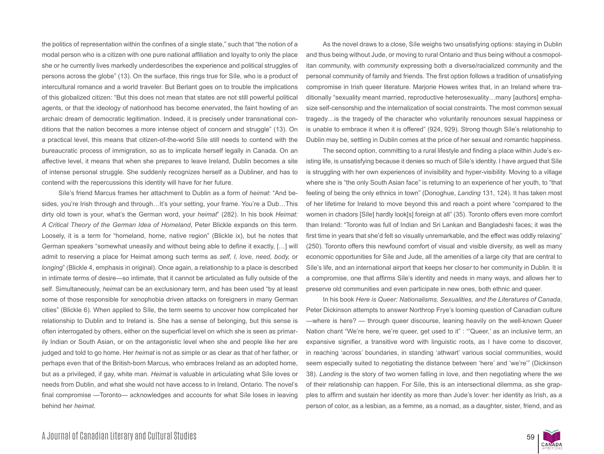the politics of representation within the confines of a single state," such that "the notion of a modal person who is a citizen with one pure national affiliation and loyalty to only the place she or he currently lives markedly underdescribes the experience and political struggles of persons across the globe" (13). On the surface, this rings true for Síle, who is a product of intercultural romance and a world traveler. But Berlant goes on to trouble the implications of this globalized citizen: "But this does not mean that states are not still powerful political agents, or that the ideology of nationhood has become enervated, the faint howling of an archaic dream of democratic legitimation. Indeed, it is precisely under transnational conditions that the nation becomes a more intense object of concern and struggle" (13). On a practical level, this means that citizen-of-the-world Síle still needs to contend with the bureaucratic process of immigration, so as to implicate herself legally in Canada. On an affective level, it means that when she prepares to leave Ireland, Dublin becomes a site of intense personal struggle. She suddenly recognizes herself as a Dubliner, and has to contend with the repercussions this identity will have for her future.

Síle's friend Marcus frames her attachment to Dublin as a form of *heimat*: "And besides, you're Irish through and through…It's your setting, your frame. You're a Dub…This dirty old town is your, what's the German word, your *heimat*" (282). In his book *Heimat: A Critical Theory of the German Idea of Homeland*, Peter Blickle expands on this term. Loosely, it is a term for "homeland, home, native region" (Blickle ix), but he notes that German speakers "somewhat uneasily and without being able to define it exactly, […] will admit to reserving a place for Heimat among such terms as *self, I, love, need, body,* or *longing*" (Blickle 4, emphasis in original). Once again, a relationship to a place is described in intimate terms of desire—so intimate, that it cannot be articulated as fully outside of the self. Simultaneously, *heimat* can be an exclusionary term, and has been used "by at least some of those responsible for xenophobia driven attacks on foreigners in many German cities" (Blickle 6). When applied to Síle, the term seems to uncover how complicated her relationship to Dublin and to Ireland is. She has a sense of belonging, but this sense is often interrogated by others, either on the superficial level on which she is seen as primarily Indian or South Asian, or on the antagonistic level when she and people like her are judged and told to go home. Her *heimat* is not as simple or as clear as that of her father, or perhaps even that of the British-born Marcus, who embraces Ireland as an adopted home, but as a privileged, if gay, white man. *Heimat* is valuable in articulating what Síle loves or needs from Dublin, and what she would not have access to in Ireland, Ontario. The novel's final compromise —Toronto— acknowledges and accounts for what Síle loses in leaving behind her *heimat*.

As the novel draws to a close, Síle weighs two unsatisfying options: staying in Dublin and thus being without Jude, or moving to rural Ontario and thus being without a cosmopolitan community, with *community* expressing both a diverse/racialized community and the personal community of family and friends. The first option follows a tradition of unsatisfying compromise in Irish queer literature. Marjorie Howes writes that, in an Ireland where traditionally "sexuality meant married, reproductive heterosexuality…many [authors] emphasize self-censorship and the internalization of social constraints. The most common sexual tragedy…is the tragedy of the character who voluntarily renounces sexual happiness or is unable to embrace it when it is offered" (924, 929). Strong though Síle's relationship to Dublin may be, settling in Dublin comes at the price of her sexual and romantic happiness.

The second option, committing to a rural lifestyle and finding a place within Jude's existing life, is unsatisfying because it denies so much of Síle's identity. I have argued that Síle is struggling with her own experiences of invisibility and hyper-visibility. Moving to a village where she is "the only South Asian face" is returning to an experience of her youth, to "that feeling of being the only ethnics in town" (Donoghue, *Landing* 131, 124). It has taken most of her lifetime for Ireland to move beyond this and reach a point where "compared to the women in chadors [Síle] hardly look[s] foreign at all" (35). Toronto offers even more comfort than Ireland: "Toronto was full of Indian and Sri Lankan and Bangladeshi faces; it was the first time in years that she'd felt so visually unremarkable, and the effect was oddly relaxing" (250). Toronto offers this newfound comfort of visual and visible diversity, as well as many economic opportunities for Síle and Jude, all the amenities of a large city that are central to Síle's life, and an international airport that keeps her clos*er* to her community in Dublin. It is a compromise, one that affirms Síle's identity and needs in many ways, and allows her to preserve old communities and even participate in new ones, both ethnic and queer.

In his book *Here is Queer: Nationalisms, Sexualities, and the Literatures of Canada*, Peter Dickinson attempts to answer Northrop Frye's looming question of Canadian culture —where is here? — through queer discourse, leaning heavily on the well-known Queer Nation chant "We're here, we're queer, get used to it" : "'Queer,' as an inclusive term, an expansive signifier, a transitive word with linguistic roots, as I have come to discover, in reaching 'across' boundaries, in standing 'athwart' various social communities, would seem especially suited to negotiating the distance between 'here' and 'we're'" (Dickinson 38). *Landing* is the story of two women falling in love, and then negotiating where the *we* of their relationship can happen. For Síle, this is an intersectional dilemma, as she grapples to affirm and sustain her identity as more than Jude's lover: her identity as Irish, as a person of color, as a lesbian, as a femme, as a nomad, as a daughter, sister, friend, and as